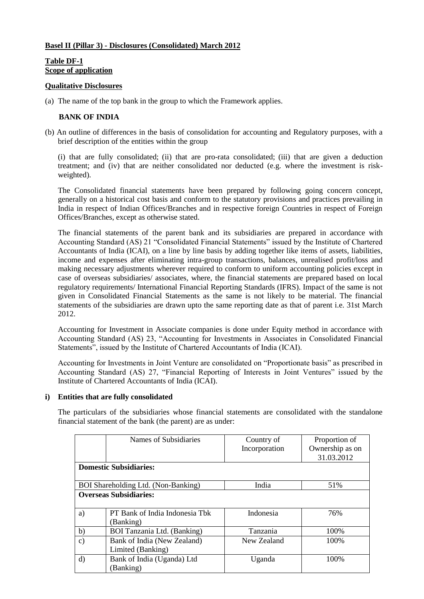### **Basel II (Pillar 3) - Disclosures (Consolidated) March 2012**

### **Table DF-1 Scope of application**

#### **Qualitative Disclosures**

(a) The name of the top bank in the group to which the Framework applies.

### **BANK OF INDIA**

(b) An outline of differences in the basis of consolidation for accounting and Regulatory purposes, with a brief description of the entities within the group

(i) that are fully consolidated; (ii) that are pro-rata consolidated; (iii) that are given a deduction treatment; and (iv) that are neither consolidated nor deducted (e.g. where the investment is riskweighted).

The Consolidated financial statements have been prepared by following going concern concept, generally on a historical cost basis and conform to the statutory provisions and practices prevailing in India in respect of Indian Offices/Branches and in respective foreign Countries in respect of Foreign Offices/Branches, except as otherwise stated.

The financial statements of the parent bank and its subsidiaries are prepared in accordance with Accounting Standard (AS) 21 "Consolidated Financial Statements" issued by the Institute of Chartered Accountants of India (ICAI), on a line by line basis by adding together like items of assets, liabilities, income and expenses after eliminating intra-group transactions, balances, unrealised profit/loss and making necessary adjustments wherever required to conform to uniform accounting policies except in case of overseas subsidiaries/ associates, where, the financial statements are prepared based on local regulatory requirements/ International Financial Reporting Standards (IFRS). Impact of the same is not given in Consolidated Financial Statements as the same is not likely to be material. The financial statements of the subsidiaries are drawn upto the same reporting date as that of parent i.e. 31st March 2012.

Accounting for Investment in Associate companies is done under Equity method in accordance with Accounting Standard (AS) 23, "Accounting for Investments in Associates in Consolidated Financial Statements", issued by the Institute of Chartered Accountants of India (ICAI).

Accounting for Investments in Joint Venture are consolidated on "Proportionate basis" as prescribed in Accounting Standard (AS) 27, "Financial Reporting of Interests in Joint Ventures" issued by the Institute of Chartered Accountants of India (ICAI).

### **i) Entities that are fully consolidated**

The particulars of the subsidiaries whose financial statements are consolidated with the standalone financial statement of the bank (the parent) are as under:

|               | Names of Subsidiaries                            | Country of<br>Incorporation | Proportion of<br>Ownership as on<br>31.03.2012 |
|---------------|--------------------------------------------------|-----------------------------|------------------------------------------------|
|               | <b>Domestic Subsidiaries:</b>                    |                             |                                                |
|               | BOI Shareholding Ltd. (Non-Banking)              | India                       | 51%                                            |
|               | <b>Overseas Subsidiaries:</b>                    |                             |                                                |
| a)            | PT Bank of India Indonesia Thk<br>(Banking)      | Indonesia                   | 76%                                            |
| b)            | BOI Tanzania Ltd. (Banking)                      | Tanzania                    | 100%                                           |
| $\mathbf{c})$ | Bank of India (New Zealand)<br>Limited (Banking) | New Zealand                 | 100%                                           |
| $\rm d$       | Bank of India (Uganda) Ltd<br>Banking)           | Uganda                      | 100%                                           |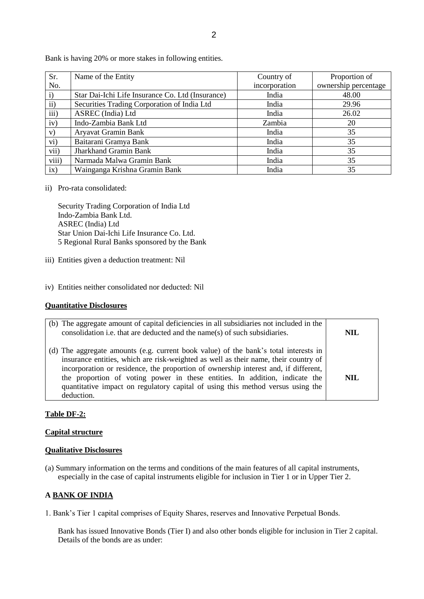| Sr.          | Name of the Entity                               | Country of    | Proportion of        |
|--------------|--------------------------------------------------|---------------|----------------------|
| No.          |                                                  | incorporation | ownership percentage |
| $\mathbf{i}$ | Star Dai-Ichi Life Insurance Co. Ltd (Insurance) | India         | 48.00                |
| $\rm ii)$    | Securities Trading Corporation of India Ltd      | India         | 29.96                |
| iii)         | ASREC (India) Ltd                                | India         | 26.02                |
| iv)          | Indo-Zambia Bank Ltd                             | Zambia        | 20                   |
| V)           | Aryavat Gramin Bank                              | India         | 35                   |
| vi)          | Baitarani Gramya Bank                            | India         | 35                   |
| vii)         | <b>Jharkhand Gramin Bank</b>                     | India         | 35                   |
| viii)        | Narmada Malwa Gramin Bank                        | India         | 35                   |
| ix)          | Wainganga Krishna Gramin Bank                    | India         | 35                   |

Bank is having 20% or more stakes in following entities.

ii) Pro-rata consolidated:

Security Trading Corporation of India Ltd Indo-Zambia Bank Ltd. ASREC (India) Ltd Star Union Dai-Ichi Life Insurance Co. Ltd. 5 Regional Rural Banks sponsored by the Bank

- iii) Entities given a deduction treatment: Nil
- iv) Entities neither consolidated nor deducted: Nil

### **Quantitative Disclosures**

| (b) The aggregate amount of capital deficiencies in all subsidiaries not included in the<br>consolidation i.e. that are deducted and the name(s) of such subsidiaries.                                                                                                                                                                                                                                                                             | <b>NIL</b> |
|----------------------------------------------------------------------------------------------------------------------------------------------------------------------------------------------------------------------------------------------------------------------------------------------------------------------------------------------------------------------------------------------------------------------------------------------------|------------|
| (d) The aggregate amounts (e.g. current book value) of the bank's total interests in<br>insurance entities, which are risk-weighted as well as their name, their country of<br>incorporation or residence, the proportion of ownership interest and, if different,<br>the proportion of voting power in these entities. In addition, indicate the<br>quantitative impact on regulatory capital of using this method versus using the<br>deduction. | <b>NIL</b> |

### **Table DF-2:**

#### **Capital structure**

#### **Qualitative Disclosures**

(a) Summary information on the terms and conditions of the main features of all capital instruments, especially in the case of capital instruments eligible for inclusion in Tier 1 or in Upper Tier 2.

### **A BANK OF INDIA**

1. Bank"s Tier 1 capital comprises of Equity Shares, reserves and Innovative Perpetual Bonds.

Bank has issued Innovative Bonds (Tier I) and also other bonds eligible for inclusion in Tier 2 capital. Details of the bonds are as under: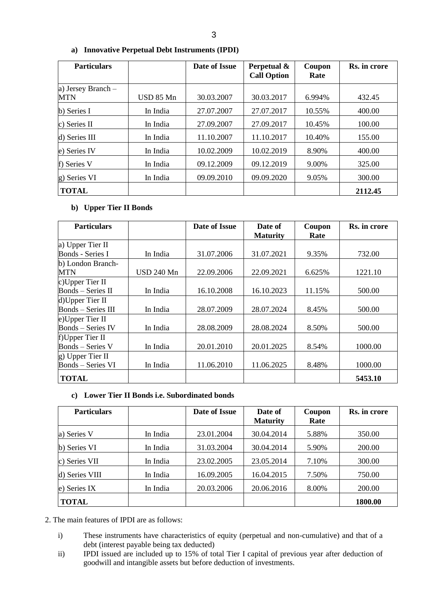| <b>Particulars</b>               |           | Date of Issue | Perpetual &<br><b>Call Option</b> | Coupon<br>Rate | Rs. in crore |
|----------------------------------|-----------|---------------|-----------------------------------|----------------|--------------|
| a) Jersey Branch -<br><b>MTN</b> | USD 85 Mn | 30.03.2007    | 30.03.2017                        | 6.994%         | 432.45       |
| b) Series I                      | In India  | 27.07.2007    | 27.07.2017                        | 10.55%         | 400.00       |
| c) Series II                     | In India  | 27.09.2007    | 27.09.2017                        | 10.45%         | 100.00       |
| d) Series III                    | In India  | 11.10.2007    | 11.10.2017                        | 10.40%         | 155.00       |
| e) Series IV                     | In India  | 10.02.2009    | 10.02.2019                        | 8.90%          | 400.00       |
| f) Series V                      | In India  | 09.12.2009    | 09.12.2019                        | 9.00%          | 325.00       |
| g) Series VI                     | In India  | 09.09.2010    | 09.09.2020                        | 9.05%          | 300.00       |
| <b>TOTAL</b>                     |           |               |                                   |                | 2112.45      |

### **a) Innovative Perpetual Debt Instruments (IPDI)**

### **b) Upper Tier II Bonds**

| <b>Particulars</b>        |                   | Date of Issue | Date of         | Coupon | Rs. in crore |
|---------------------------|-------------------|---------------|-----------------|--------|--------------|
|                           |                   |               | <b>Maturity</b> | Rate   |              |
| a) Upper Tier II          |                   |               |                 |        |              |
| Bonds - Series I          | In India          | 31.07.2006    | 31.07.2021      | 9.35%  | 732.00       |
| b) London Branch-         |                   |               |                 |        |              |
| <b>MTN</b>                | <b>USD 240 Mn</b> | 22.09.2006    | 22.09.2021      | 6.625% | 1221.10      |
| c)Upper Tier II           |                   |               |                 |        |              |
| Bonds - Series II         | In India          | 16.10.2008    | 16.10.2023      | 11.15% | 500.00       |
| d)Upper Tier II           |                   |               |                 |        |              |
| <b>Bonds</b> - Series III | In India          | 28.07.2009    | 28.07.2024      | 8.45%  | 500.00       |
| e)Upper Tier II           |                   |               |                 |        |              |
| <b>Bonds</b> – Series IV  | In India          | 28.08.2009    | 28.08.2024      | 8.50%  | 500.00       |
| f)Upper Tier II           |                   |               |                 |        |              |
| <b>Bonds</b> – Series V   | In India          | 20.01.2010    | 20.01.2025      | 8.54%  | 1000.00      |
| g) Upper Tier II          |                   |               |                 |        |              |
| <b>Bonds</b> – Series VI  | In India          | 11.06.2010    | 11.06.2025      | 8.48%  | 1000.00      |
| <b>TOTAL</b>              |                   |               |                 |        | 5453.10      |

### **c) Lower Tier II Bonds i.e. Subordinated bonds**

| <b>Particulars</b> |          | Date of Issue | Date of<br><b>Maturity</b> | Coupon<br>Rate | Rs. in crore |
|--------------------|----------|---------------|----------------------------|----------------|--------------|
| a) Series V        | In India | 23.01.2004    | 30.04.2014                 | 5.88%          | 350.00       |
| b) Series VI       | In India | 31.03.2004    | 30.04.2014                 | 5.90%          | 200.00       |
| c) Series VII      | In India | 23.02.2005    | 23.05.2014                 | 7.10%          | 300.00       |
| d) Series VIII     | In India | 16.09.2005    | 16.04.2015                 | 7.50%          | 750.00       |
| e) Series IX       | In India | 20.03.2006    | 20.06.2016                 | 8.00%          | 200.00       |
| <b>TOTAL</b>       |          |               |                            |                | 1800.00      |

2. The main features of IPDI are as follows:

- i) These instruments have characteristics of equity (perpetual and non-cumulative) and that of a debt (interest payable being tax deducted)
- ii) IPDI issued are included up to 15% of total Tier I capital of previous year after deduction of goodwill and intangible assets but before deduction of investments.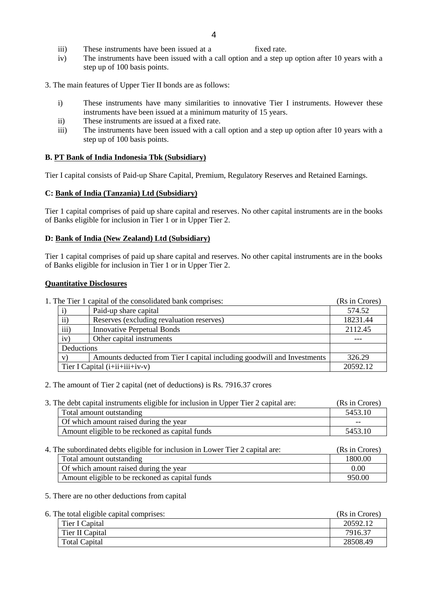- iii) These instruments have been issued at a fixed rate.
- iv) The instruments have been issued with a call option and a step up option after 10 years with a step up of 100 basis points.
- 3. The main features of Upper Tier II bonds are as follows:
	- i) These instruments have many similarities to innovative Tier I instruments. However these instruments have been issued at a minimum maturity of 15 years.
	- ii) These instruments are issued at a fixed rate.
	- iii) The instruments have been issued with a call option and a step up option after 10 years with a step up of 100 basis points.

### **B. PT Bank of India Indonesia Tbk (Subsidiary)**

Tier I capital consists of Paid-up Share Capital, Premium, Regulatory Reserves and Retained Earnings.

### **C: Bank of India (Tanzania) Ltd (Subsidiary)**

Tier 1 capital comprises of paid up share capital and reserves. No other capital instruments are in the books of Banks eligible for inclusion in Tier 1 or in Upper Tier 2.

### **D: Bank of India (New Zealand) Ltd (Subsidiary)**

Tier 1 capital comprises of paid up share capital and reserves. No other capital instruments are in the books of Banks eligible for inclusion in Tier 1 or in Upper Tier 2.

### **Quantitative Disclosures**

| 1. The Tier 1 capital of the consolidated bank comprises: |
|-----------------------------------------------------------|
|-----------------------------------------------------------|

|            | Paid-up share capital                                                   | 574.52   |
|------------|-------------------------------------------------------------------------|----------|
| $\rm ii)$  | Reserves (excluding revaluation reserves)                               | 18231.44 |
| iii)       | <b>Innovative Perpetual Bonds</b>                                       | 2112.45  |
| iv)        | Other capital instruments                                               |          |
| Deductions |                                                                         |          |
| V          | Amounts deducted from Tier I capital including goodwill and Investments | 326.29   |
|            | Tier I Capital $(i+i i+i i+i v-v)$                                      | 20592.12 |

(Rs in Crores)

### 2. The amount of Tier 2 capital (net of deductions) is Rs. 7916.37 crores

3. The debt capital instruments eligible for inclusion in Upper Tier 2 capital are: (Rs in Crores)

| Total amount outstanding                        | 5453.10 |
|-------------------------------------------------|---------|
| Of which amount raised during the year          | --      |
| Amount eligible to be reckoned as capital funds | 5453.10 |

| 4. The subordinated debts eligible for inclusion in Lower Tier 2 capital are: | (Rs in Crores)                                  |         |
|-------------------------------------------------------------------------------|-------------------------------------------------|---------|
|                                                                               | Total amount outstanding                        | 1800.00 |
|                                                                               | Of which amount raised during the year          | 0.00    |
|                                                                               | Amount eligible to be reckoned as capital funds | 950.00  |

### 5. There are no other deductions from capital

| 6. The total eligible capital comprises: |                      | (Rs in Crores) |
|------------------------------------------|----------------------|----------------|
|                                          | Tier I Capital       | 20592.12       |
|                                          | Tier II Capital      | 7916.37        |
|                                          | <b>Total Capital</b> | 28508.49       |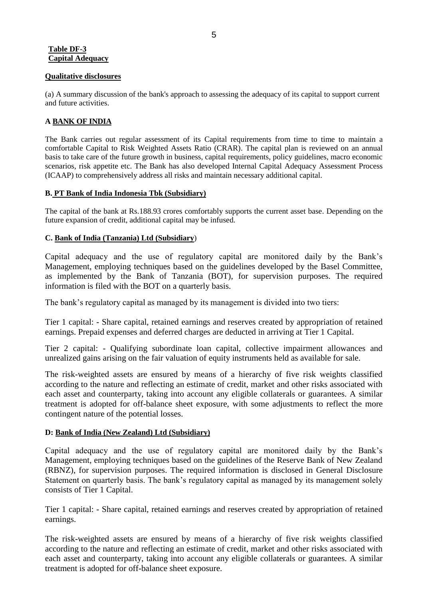### **Table DF-3 Capital Adequacy**

### **Qualitative disclosures**

(a) A summary discussion of the bank's approach to assessing the adequacy of its capital to support current and future activities.

## **A BANK OF INDIA**

The Bank carries out regular assessment of its Capital requirements from time to time to maintain a comfortable Capital to Risk Weighted Assets Ratio (CRAR). The capital plan is reviewed on an annual basis to take care of the future growth in business, capital requirements, policy guidelines, macro economic scenarios, risk appetite etc. The Bank has also developed Internal Capital Adequacy Assessment Process (ICAAP) to comprehensively address all risks and maintain necessary additional capital.

### **B. PT Bank of India Indonesia Tbk (Subsidiary)**

The capital of the bank at Rs.188.93 crores comfortably supports the current asset base. Depending on the future expansion of credit, additional capital may be infused.

## **C. Bank of India (Tanzania) Ltd (Subsidiary**)

Capital adequacy and the use of regulatory capital are monitored daily by the Bank"s Management, employing techniques based on the guidelines developed by the Basel Committee, as implemented by the Bank of Tanzania (BOT), for supervision purposes. The required information is filed with the BOT on a quarterly basis.

The bank"s regulatory capital as managed by its management is divided into two tiers:

Tier 1 capital: - Share capital, retained earnings and reserves created by appropriation of retained earnings. Prepaid expenses and deferred charges are deducted in arriving at Tier 1 Capital.

Tier 2 capital: - Qualifying subordinate loan capital, collective impairment allowances and unrealized gains arising on the fair valuation of equity instruments held as available for sale.

The risk-weighted assets are ensured by means of a hierarchy of five risk weights classified according to the nature and reflecting an estimate of credit, market and other risks associated with each asset and counterparty, taking into account any eligible collaterals or guarantees. A similar treatment is adopted for off-balance sheet exposure, with some adjustments to reflect the more contingent nature of the potential losses.

## **D: Bank of India (New Zealand) Ltd (Subsidiary)**

Capital adequacy and the use of regulatory capital are monitored daily by the Bank"s Management, employing techniques based on the guidelines of the Reserve Bank of New Zealand (RBNZ), for supervision purposes. The required information is disclosed in General Disclosure Statement on quarterly basis. The bank's regulatory capital as managed by its management solely consists of Tier 1 Capital.

Tier 1 capital: - Share capital, retained earnings and reserves created by appropriation of retained earnings.

The risk-weighted assets are ensured by means of a hierarchy of five risk weights classified according to the nature and reflecting an estimate of credit, market and other risks associated with each asset and counterparty, taking into account any eligible collaterals or guarantees. A similar treatment is adopted for off-balance sheet exposure.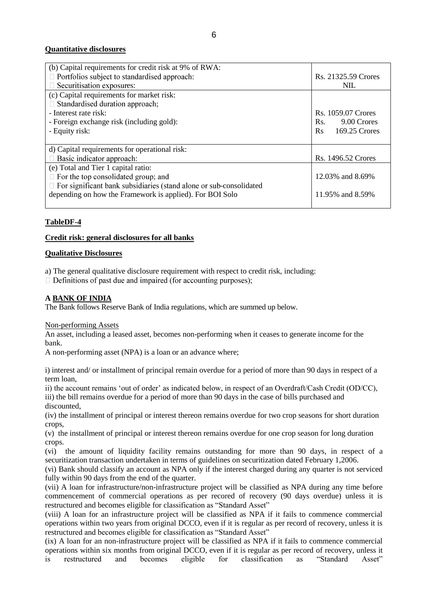## **Quantitative disclosures**

| (b) Capital requirements for credit risk at 9% of RWA:                    |                     |
|---------------------------------------------------------------------------|---------------------|
| $\Box$ Portfolios subject to standardised approach:                       | Rs. 21325.59 Crores |
| $\Box$ Securitisation exposures:                                          | <b>NIL</b>          |
| (c) Capital requirements for market risk:                                 |                     |
| $\Box$ Standardised duration approach;                                    |                     |
| - Interest rate risk:                                                     | Rs. 1059.07 Crores  |
| - Foreign exchange risk (including gold):                                 | 9.00 Crores<br>Rs.  |
| - Equity risk:                                                            | 169.25 Crores<br>Rs |
|                                                                           |                     |
| d) Capital requirements for operational risk:                             |                     |
| $\Box$ Basic indicator approach:                                          | Rs. 1496.52 Crores  |
| (e) Total and Tier 1 capital ratio:                                       |                     |
| $\Box$ For the top consolidated group; and                                | 12.03% and 8.69%    |
| $\Box$ For significant bank subsidiaries (stand alone or sub-consolidated |                     |
| depending on how the Framework is applied). For BOI Solo                  | 11.95% and 8.59%    |
|                                                                           |                     |

## **TableDF-4**

### **Credit risk: general disclosures for all banks**

#### **Qualitative Disclosures**

a) The general qualitative disclosure requirement with respect to credit risk, including:

 $\Box$  Definitions of past due and impaired (for accounting purposes);

#### **A BANK OF INDIA**

The Bank follows Reserve Bank of India regulations, which are summed up below.

#### Non-performing Assets

An asset, including a leased asset, becomes non-performing when it ceases to generate income for the bank.

A non-performing asset (NPA) is a loan or an advance where;

i) interest and/ or installment of principal remain overdue for a period of more than 90 days in respect of a term loan,

ii) the account remains "out of order" as indicated below, in respect of an Overdraft/Cash Credit (OD/CC), iii) the bill remains overdue for a period of more than 90 days in the case of bills purchased and discounted,

(iv) the installment of principal or interest thereon remains overdue for two crop seasons for short duration crops,

(v) the installment of principal or interest thereon remains overdue for one crop season for long duration crops.

(vi) the amount of liquidity facility remains outstanding for more than 90 days, in respect of a securitization transaction undertaken in terms of guidelines on securitization dated February 1,2006.

(vi) Bank should classify an account as NPA only if the interest charged during any quarter is not serviced fully within 90 days from the end of the quarter.

(vii) A loan for infrastructure/non-infrastructure project will be classified as NPA during any time before commencement of commercial operations as per recored of recovery (90 days overdue) unless it is restructured and becomes eligible for classification as "Standard Asset"

(viii) A loan for an infrastructure project will be classified as NPA if it fails to commence commercial operations within two years from original DCCO, even if it is regular as per record of recovery, unless it is restructured and becomes eligible for classification as "Standard Asset"

(ix) A loan for an non-infrastructure project will be classified as NPA if it fails to commence commercial operations within six months from original DCCO, even if it is regular as per record of recovery, unless it is restructured and becomes eligible for classification as "Standard Asset"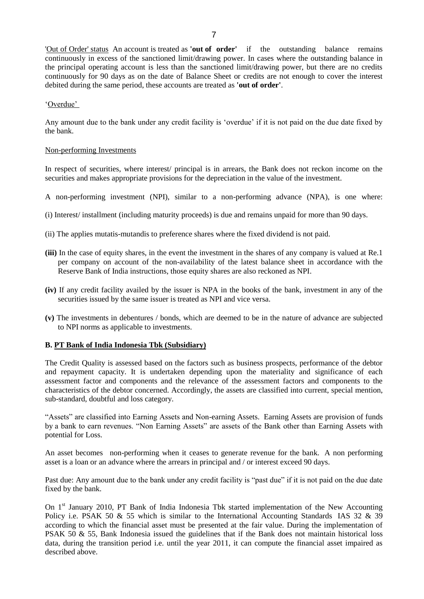'Out of Order' status An account is treated as **'out of order'** if the outstanding balance remains continuously in excess of the sanctioned limit/drawing power. In cases where the outstanding balance in the principal operating account is less than the sanctioned limit/drawing power, but there are no credits continuously for 90 days as on the date of Balance Sheet or credits are not enough to cover the interest debited during the same period, these accounts are treated as **'out of order'**.

#### "Overdue"

Any amount due to the bank under any credit facility is "overdue" if it is not paid on the due date fixed by the bank.

#### Non-performing Investments

In respect of securities, where interest/ principal is in arrears, the Bank does not reckon income on the securities and makes appropriate provisions for the depreciation in the value of the investment.

- A non-performing investment (NPI), similar to a non-performing advance (NPA), is one where:
- (i) Interest/ installment (including maturity proceeds) is due and remains unpaid for more than 90 days.
- (ii) The applies mutatis-mutandis to preference shares where the fixed dividend is not paid.
- **(iii)** In the case of equity shares, in the event the investment in the shares of any company is valued at Re.1 per company on account of the non-availability of the latest balance sheet in accordance with the Reserve Bank of India instructions, those equity shares are also reckoned as NPI.
- **(iv)** If any credit facility availed by the issuer is NPA in the books of the bank, investment in any of the securities issued by the same issuer is treated as NPI and vice versa.
- **(v)** The investments in debentures / bonds, which are deemed to be in the nature of advance are subjected to NPI norms as applicable to investments.

#### **B. PT Bank of India Indonesia Tbk (Subsidiary)**

The Credit Quality is assessed based on the factors such as business prospects, performance of the debtor and repayment capacity. It is undertaken depending upon the materiality and significance of each assessment factor and components and the relevance of the assessment factors and components to the characteristics of the debtor concerned. Accordingly, the assets are classified into current, special mention, sub-standard, doubtful and loss category.

"Assets" are classified into Earning Assets and Non-earning Assets. Earning Assets are provision of funds by a bank to earn revenues. "Non Earning Assets" are assets of the Bank other than Earning Assets with potential for Loss.

An asset becomes non-performing when it ceases to generate revenue for the bank. A non performing asset is a loan or an advance where the arrears in principal and / or interest exceed 90 days.

Past due: Any amount due to the bank under any credit facility is "past due" if it is not paid on the due date fixed by the bank.

On  $1<sup>st</sup>$  January 2010, PT Bank of India Indonesia Tbk started implementation of the New Accounting Policy i.e. PSAK 50 & 55 which is similar to the International Accounting Standards IAS 32 & 39 according to which the financial asset must be presented at the fair value. During the implementation of PSAK 50  $\&$  55, Bank Indonesia issued the guidelines that if the Bank does not maintain historical loss data, during the transition period i.e. until the year 2011, it can compute the financial asset impaired as described above.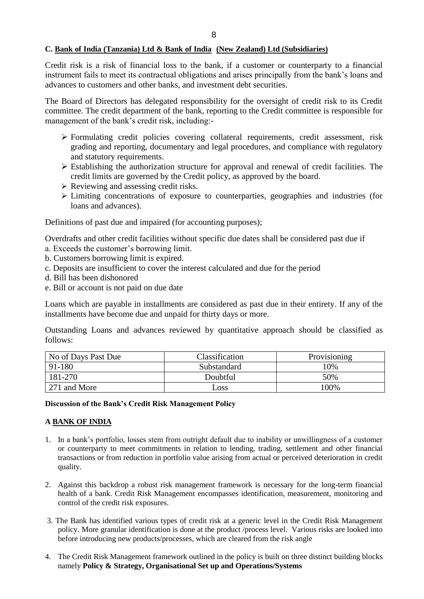### **C. Bank of India (Tanzania) Ltd & Bank of India (New Zealand) Ltd (Subsidiaries)**

Credit risk is a risk of financial loss to the bank, if a customer or counterparty to a financial instrument fails to meet its contractual obligations and arises principally from the bank's loans and advances to customers and other banks, and investment debt securities.

The Board of Directors has delegated responsibility for the oversight of credit risk to its Credit committee. The credit department of the bank, reporting to the Credit committee is responsible for management of the bank"s credit risk, including:-

- Formulating credit policies covering collateral requirements, credit assessment, risk grading and reporting, documentary and legal procedures, and compliance with regulatory and statutory requirements.
- Establishing the authorization structure for approval and renewal of credit facilities. The credit limits are governed by the Credit policy, as approved by the board.
- $\triangleright$  Reviewing and assessing credit risks.
- Limiting concentrations of exposure to counterparties, geographies and industries (for loans and advances).

Definitions of past due and impaired (for accounting purposes);

Overdrafts and other credit facilities without specific due dates shall be considered past due if a. Exceeds the customer"s borrowing limit.

- b. Customers borrowing limit is expired.
- c. Deposits are insufficient to cover the interest calculated and due for the period
- d. Bill has been dishonored
- e. Bill or account is not paid on due date

Loans which are payable in installments are considered as past due in their entirety. If any of the installments have become due and unpaid for thirty days or more.

Outstanding Loans and advances reviewed by quantitative approach should be classified as follows:

| No of Days Past Due | Classification | <b>Provisioning</b> |
|---------------------|----------------|---------------------|
| 91-180              | Substandard    | 10%                 |
| 181-270             | Doubtful       | 50%                 |
| 271 and More        | $\log$         | 100%                |

#### **Discussion of the Bank's Credit Risk Management Policy**

### **A BANK OF INDIA**

- 1. In a bank"s portfolio, losses stem from outright default due to inability or unwillingness of a customer or counterparty to meet commitments in relation to lending, trading, settlement and other financial transactions or from reduction in portfolio value arising from actual or perceived deterioration in credit quality.
- 2. Against this backdrop a robust risk management framework is necessary for the long-term financial health of a bank. Credit Risk Management encompasses identification, measurement, monitoring and control of the credit risk exposures.
- 3. The Bank has identified various types of credit risk at a generic level in the Credit Risk Management policy. More granular identification is done at the product /process level. Various risks are looked into before introducing new products/processes, which are cleared from the risk angle
- 4. The Credit Risk Management framework outlined in the policy is built on three distinct building blocks namely **Policy & Strategy, Organisational Set up and Operations/Systems**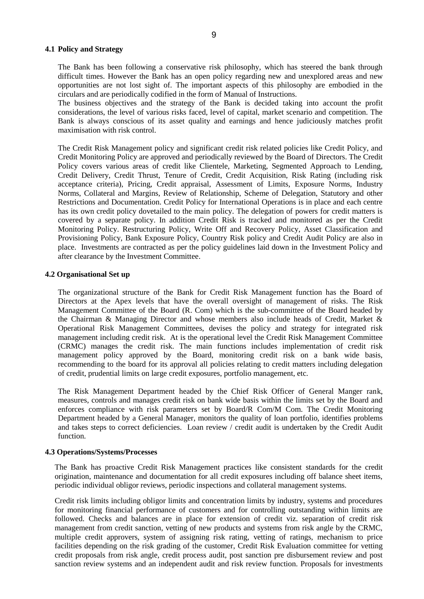#### **4.1 Policy and Strategy**

The Bank has been following a conservative risk philosophy, which has steered the bank through difficult times. However the Bank has an open policy regarding new and unexplored areas and new opportunities are not lost sight of. The important aspects of this philosophy are embodied in the circulars and are periodically codified in the form of Manual of Instructions.

The business objectives and the strategy of the Bank is decided taking into account the profit considerations, the level of various risks faced, level of capital, market scenario and competition. The Bank is always conscious of its asset quality and earnings and hence judiciously matches profit maximisation with risk control.

The Credit Risk Management policy and significant credit risk related policies like Credit Policy, and Credit Monitoring Policy are approved and periodically reviewed by the Board of Directors. The Credit Policy covers various areas of credit like Clientele, Marketing, Segmented Approach to Lending, Credit Delivery, Credit Thrust, Tenure of Credit, Credit Acquisition, Risk Rating (including risk acceptance criteria), Pricing, Credit appraisal, Assessment of Limits, Exposure Norms, Industry Norms, Collateral and Margins, Review of Relationship, Scheme of Delegation, Statutory and other Restrictions and Documentation. Credit Policy for International Operations is in place and each centre has its own credit policy dovetailed to the main policy. The delegation of powers for credit matters is covered by a separate policy. In addition Credit Risk is tracked and monitored as per the Credit Monitoring Policy. Restructuring Policy, Write Off and Recovery Policy, Asset Classification and Provisioning Policy, Bank Exposure Policy, Country Risk policy and Credit Audit Policy are also in place. Investments are contracted as per the policy guidelines laid down in the Investment Policy and after clearance by the Investment Committee.

#### **4.2 Organisational Set up**

The organizational structure of the Bank for Credit Risk Management function has the Board of Directors at the Apex levels that have the overall oversight of management of risks. The Risk Management Committee of the Board (R. Com) which is the sub-committee of the Board headed by the Chairman & Managing Director and whose members also include heads of Credit, Market & Operational Risk Management Committees, devises the policy and strategy for integrated risk management including credit risk. At is the operational level the Credit Risk Management Committee (CRMC) manages the credit risk. The main functions includes implementation of credit risk management policy approved by the Board, monitoring credit risk on a bank wide basis, recommending to the board for its approval all policies relating to credit matters including delegation of credit, prudential limits on large credit exposures, portfolio management, etc.

The Risk Management Department headed by the Chief Risk Officer of General Manger rank, measures, controls and manages credit risk on bank wide basis within the limits set by the Board and enforces compliance with risk parameters set by Board/R Com/M Com. The Credit Monitoring Department headed by a General Manager, monitors the quality of loan portfolio, identifies problems and takes steps to correct deficiencies. Loan review / credit audit is undertaken by the Credit Audit function.

#### **4.3 Operations/Systems/Processes**

The Bank has proactive Credit Risk Management practices like consistent standards for the credit origination, maintenance and documentation for all credit exposures including off balance sheet items, periodic individual obligor reviews, periodic inspections and collateral management systems.

Credit risk limits including obligor limits and concentration limits by industry, systems and procedures for monitoring financial performance of customers and for controlling outstanding within limits are followed. Checks and balances are in place for extension of credit viz. separation of credit risk management from credit sanction, vetting of new products and systems from risk angle by the CRMC, multiple credit approvers, system of assigning risk rating, vetting of ratings, mechanism to price facilities depending on the risk grading of the customer, Credit Risk Evaluation committee for vetting credit proposals from risk angle, credit process audit, post sanction pre disbursement review and post sanction review systems and an independent audit and risk review function. Proposals for investments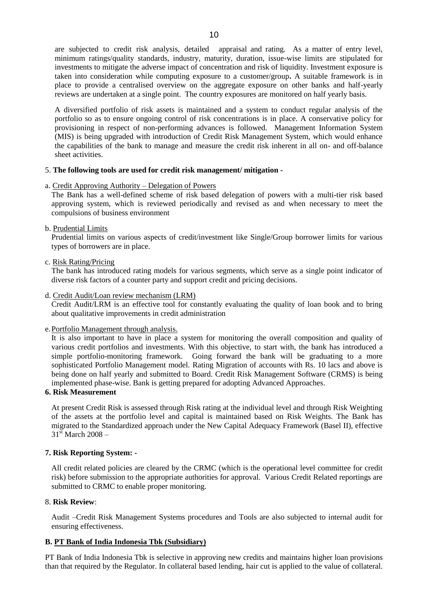are subjected to credit risk analysis, detailed appraisal and rating. As a matter of entry level, minimum ratings/quality standards, industry, maturity, duration, issue-wise limits are stipulated for investments to mitigate the adverse impact of concentration and risk of liquidity. Investment exposure is taken into consideration while computing exposure to a customer/group**.** A suitable framework is in place to provide a centralised overview on the aggregate exposure on other banks and half-yearly reviews are undertaken at a single point. The country exposures are monitored on half yearly basis.

A diversified portfolio of risk assets is maintained and a system to conduct regular analysis of the portfolio so as to ensure ongoing control of risk concentrations is in place. A conservative policy for provisioning in respect of non-performing advances is followed. Management Information System (MIS) is being upgraded with introduction of Credit Risk Management System, which would enhance the capabilities of the bank to manage and measure the credit risk inherent in all on- and off-balance sheet activities.

### 5. **The following tools are used for credit risk management/ mitigation -**

a. Credit Approving Authority – Delegation of Powers

The Bank has a well-defined scheme of risk based delegation of powers with a multi-tier risk based approving system, which is reviewed periodically and revised as and when necessary to meet the compulsions of business environment

#### b. Prudential Limits

Prudential limits on various aspects of credit/investment like Single/Group borrower limits for various types of borrowers are in place.

#### c. Risk Rating/Pricing

The bank has introduced rating models for various segments, which serve as a single point indicator of diverse risk factors of a counter party and support credit and pricing decisions.

#### d. Credit Audit/Loan review mechanism (LRM)

Credit Audit/LRM is an effective tool for constantly evaluating the quality of loan book and to bring about qualitative improvements in credit administration

#### e.Portfolio Management through analysis.

It is also important to have in place a system for monitoring the overall composition and quality of various credit portfolios and investments. With this objective, to start with, the bank has introduced a simple portfolio-monitoring framework. Going forward the bank will be graduating to a more sophisticated Portfolio Management model. Rating Migration of accounts with Rs. 10 lacs and above is being done on half yearly and submitted to Board. Credit Risk Management Software (CRMS) is being implemented phase-wise. Bank is getting prepared for adopting Advanced Approaches.

### **6. Risk Measurement**

At present Credit Risk is assessed through Risk rating at the individual level and through Risk Weighting of the assets at the portfolio level and capital is maintained based on Risk Weights. The Bank has migrated to the Standardized approach under the New Capital Adequacy Framework (Basel II), effective  $31<sup>st</sup>$  March 2008 –

#### **7. Risk Reporting System: -**

All credit related policies are cleared by the CRMC (which is the operational level committee for credit risk) before submission to the appropriate authorities for approval. Various Credit Related reportings are submitted to CRMC to enable proper monitoring.

### 8. **Risk Review**:

Audit –Credit Risk Management Systems procedures and Tools are also subjected to internal audit for ensuring effectiveness.

### **B. PT Bank of India Indonesia Tbk (Subsidiary)**

PT Bank of India Indonesia Tbk is selective in approving new credits and maintains higher loan provisions than that required by the Regulator. In collateral based lending, hair cut is applied to the value of collateral.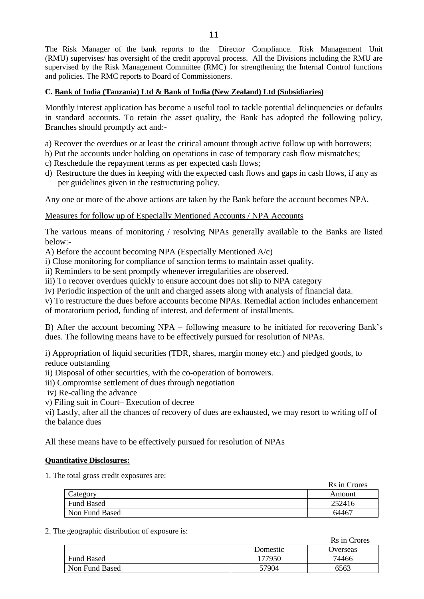The Risk Manager of the bank reports to the Director Compliance. Risk Management Unit (RMU) supervises/ has oversight of the credit approval process. All the Divisions including the RMU are supervised by the Risk Management Committee (RMC) for strengthening the Internal Control functions and policies. The RMC reports to Board of Commissioners.

## **C. Bank of India (Tanzania) Ltd & Bank of India (New Zealand) Ltd (Subsidiaries)**

Monthly interest application has become a useful tool to tackle potential delinquencies or defaults in standard accounts. To retain the asset quality, the Bank has adopted the following policy, Branches should promptly act and:-

- a) Recover the overdues or at least the critical amount through active follow up with borrowers;
- b) Put the accounts under holding on operations in case of temporary cash flow mismatches;
- c) Reschedule the repayment terms as per expected cash flows;
- d) Restructure the dues in keeping with the expected cash flows and gaps in cash flows, if any as per guidelines given in the restructuring policy.

Any one or more of the above actions are taken by the Bank before the account becomes NPA.

### Measures for follow up of Especially Mentioned Accounts / NPA Accounts

The various means of monitoring / resolving NPAs generally available to the Banks are listed below:-

A) Before the account becoming NPA (Especially Mentioned A/c)

i) Close monitoring for compliance of sanction terms to maintain asset quality.

ii) Reminders to be sent promptly whenever irregularities are observed.

iii) To recover overdues quickly to ensure account does not slip to NPA category

iv) Periodic inspection of the unit and charged assets along with analysis of financial data.

v) To restructure the dues before accounts become NPAs. Remedial action includes enhancement

of moratorium period, funding of interest, and deferment of installments.

B) After the account becoming NPA – following measure to be initiated for recovering Bank"s dues. The following means have to be effectively pursued for resolution of NPAs.

i) Appropriation of liquid securities (TDR, shares, margin money etc.) and pledged goods, to reduce outstanding

ii) Disposal of other securities, with the co-operation of borrowers.

iii) Compromise settlement of dues through negotiation

iv) Re-calling the advance

v) Filing suit in Court– Execution of decree

vi) Lastly, after all the chances of recovery of dues are exhausted, we may resort to writing off of the balance dues

All these means have to be effectively pursued for resolution of NPAs

### **Quantitative Disclosures:**

1. The total gross credit exposures are:

|                   | Rs in Crores |
|-------------------|--------------|
| Category          | Amount       |
| <b>Fund Based</b> | 252416       |
| Non Fund Based    | 64467        |

2. The geographic distribution of exposure is:

|                   |          | KS in Crores |
|-------------------|----------|--------------|
|                   | Domestic | Overseas     |
| <b>Fund Based</b> | 177950   | 74466        |
| Non Fund Based    | 57904    | 6563         |

Rs in Crores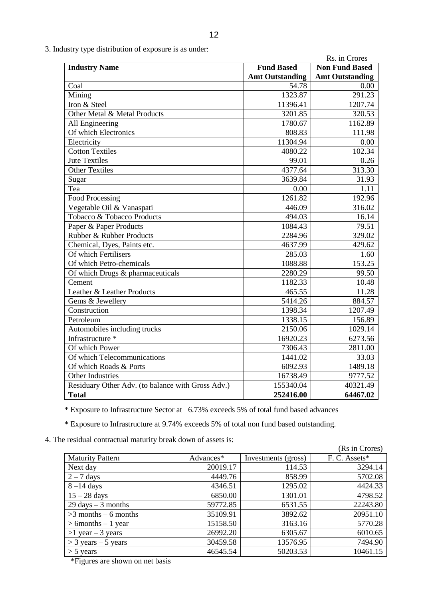3. Industry type distribution of exposure is as under:

|                                                   |                        | Rs. in Crores          |
|---------------------------------------------------|------------------------|------------------------|
| <b>Industry Name</b>                              | <b>Fund Based</b>      | <b>Non Fund Based</b>  |
|                                                   | <b>Amt Outstanding</b> | <b>Amt Outstanding</b> |
| Coal                                              | $\overline{5}4.78$     | 0.00                   |
| Mining                                            | 1323.87                | 291.23                 |
| Iron & Steel                                      | 11396.41               | 1207.74                |
| Other Metal & Metal Products                      | 3201.85                | 320.53                 |
| All Engineering                                   | 1780.67                | 1162.89                |
| Of which Electronics                              | 808.83                 | 111.98                 |
| Electricity                                       | 11304.94               | 0.00                   |
| <b>Cotton Textiles</b>                            | 4080.22                | 102.34                 |
| <b>Jute Textiles</b>                              | 99.01                  | 0.26                   |
| <b>Other Textiles</b>                             | 4377.64                | 313.30                 |
| Sugar                                             | 3639.84                | 31.93                  |
| Tea                                               | 0.00                   | 1.11                   |
| Food Processing                                   | 1261.82                | 192.96                 |
| Vegetable Oil & Vanaspati                         | 446.09                 | 316.02                 |
| Tobacco & Tobacco Products                        | 494.03                 | 16.14                  |
| Paper & Paper Products                            | 1084.43                | 79.51                  |
| Rubber & Rubber Products                          | 2284.96                | 329.02                 |
| Chemical, Dyes, Paints etc.                       | 4637.99                | 429.62                 |
| Of which Fertilisers                              | 285.03                 | 1.60                   |
| Of which Petro-chemicals                          | 1088.88                | 153.25                 |
| Of which Drugs & pharmaceuticals                  | 2280.29                | 99.50                  |
| Cement                                            | 1182.33                | 10.48                  |
| Leather & Leather Products                        | 465.55                 | 11.28                  |
| Gems & Jewellery                                  | 5414.26                | 884.57                 |
| Construction                                      | 1398.34                | 1207.49                |
| Petroleum                                         | 1338.15                | 156.89                 |
| Automobiles including trucks                      | 2150.06                | 1029.14                |
| Infrastructure *                                  | 16920.23               | 6273.56                |
| Of which Power                                    | 7306.43                | 2811.00                |
| Of which Telecommunications                       | 1441.02                | 33.03                  |
| Of which Roads & Ports                            | 6092.93                | 1489.18                |
| Other Industries                                  | 16738.49               | 9777.52                |
| Residuary Other Adv. (to balance with Gross Adv.) | 155340.04              | 40321.49               |
| <b>Total</b>                                      | 252416.00              | 64467.02               |

\* Exposure to Infrastructure Sector at 6.73% exceeds 5% of total fund based advances

\* Exposure to Infrastructure at 9.74% exceeds 5% of total non fund based outstanding.

4. The residual contractual maturity break down of assets is:

|                                      |           |                     | (Rs in Crores) |
|--------------------------------------|-----------|---------------------|----------------|
| <b>Maturity Pattern</b>              | Advances* | Investments (gross) | F. C. Assets*  |
| Next day                             | 20019.17  | 114.53              | 3294.14        |
| $2 - 7$ days                         | 4449.76   | 858.99              | 5702.08        |
| $8-14$ days                          | 4346.51   | 1295.02             | 4424.33        |
| $15 - 28$ days                       | 6850.00   | 1301.01             | 4798.52        |
| $29 \text{ days} - 3 \text{ months}$ | 59772.85  | 6531.55             | 22243.80       |
| $>3$ months – 6 months               | 35109.91  | 3892.62             | 20951.10       |
| $> 6$ months $-1$ year               | 15158.50  | 3163.16             | 5770.28        |
| $>1$ year - 3 years                  | 26992.20  | 6305.67             | 6010.65        |
| $>$ 3 years – 5 years                | 30459.58  | 13576.95            | 7494.90        |
| $>$ 5 years                          | 46545.54  | 50203.53            | 10461.15       |

\*Figures are shown on net basis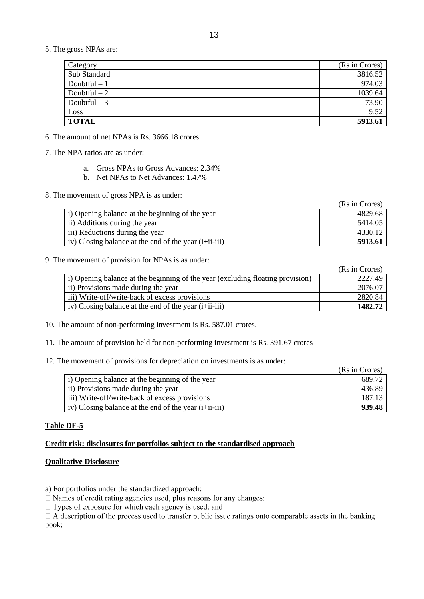5. The gross NPAs are:

| Category      | (Rs in Crores) |
|---------------|----------------|
| Sub Standard  | 3816.52        |
| Doubtful $-1$ | 974.03         |
| Doubtful $-2$ | 1039.64        |
| Doubtful $-3$ | 73.90          |
| Loss          | 9.52           |
| <b>TOTAL</b>  | 5913.61        |

6. The amount of net NPAs is Rs. 3666.18 crores.

7. The NPA ratios are as under:

- a. Gross NPAs to Gross Advances: 2.34%
- b. Net NPAs to Net Advances: 1.47%

8. The movement of gross NPA is as under:

|                                                          | (Rs in Crores) |
|----------------------------------------------------------|----------------|
| i) Opening balance at the beginning of the year          | 4829.68        |
| ii) Additions during the year                            | 5414.05        |
| iii) Reductions during the year                          | 4330.12        |
| iv) Closing balance at the end of the year $(i+iii-iii)$ | 5913.61        |

#### 9. The movement of provision for NPAs is as under:

|                                                                                | (Rs in Crores) |
|--------------------------------------------------------------------------------|----------------|
| i) Opening balance at the beginning of the year (excluding floating provision) | 2227.49        |
| ii) Provisions made during the year                                            | 2076.07        |
| iii) Write-off/write-back of excess provisions                                 | 2820.84        |
| iv) Closing balance at the end of the year $(i+iii-iii)$                       | 1482.72        |

10. The amount of non-performing investment is Rs. 587.01 crores.

11. The amount of provision held for non-performing investment is Rs. 391.67 crores

12. The movement of provisions for depreciation on investments is as under:

|                                                          | (Rs in Crores) |
|----------------------------------------------------------|----------------|
| i) Opening balance at the beginning of the year          | 689.72         |
| ii) Provisions made during the year                      | 436.89         |
| iii) Write-off/write-back of excess provisions           | 187.13         |
| iv) Closing balance at the end of the year $(i+iii-iii)$ | 939.48         |

### **Table DF-5**

# **Credit risk: disclosures for portfolios subject to the standardised approach**

## **Qualitative Disclosure**

a) For portfolios under the standardized approach:

 $\Box$  Names of credit rating agencies used, plus reasons for any changes;

 $\Box$  Types of exposure for which each agency is used; and

 $\Box$  A description of the process used to transfer public issue ratings onto comparable assets in the banking book;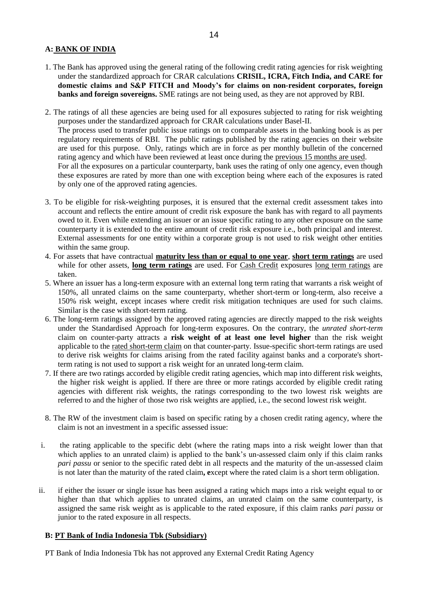### **A: BANK OF INDIA**

- 1. The Bank has approved using the general rating of the following credit rating agencies for risk weighting under the standardized approach for CRAR calculations **CRISIL, ICRA, Fitch India, and CARE for domestic claims and S&P FITCH and Moody's for claims on non-resident corporates, foreign banks and foreign sovereigns.** SME ratings are not being used, as they are not approved by RBI.
- 2. The ratings of all these agencies are being used for all exposures subjected to rating for risk weighting purposes under the standardized approach for CRAR calculations under Basel-II. The process used to transfer public issue ratings on to comparable assets in the banking book is as per regulatory requirements of RBI. The public ratings published by the rating agencies on their website are used for this purpose. Only, ratings which are in force as per monthly bulletin of the concerned rating agency and which have been reviewed at least once during the previous 15 months are used. For all the exposures on a particular counterparty, bank uses the rating of only one agency, even though these exposures are rated by more than one with exception being where each of the exposures is rated by only one of the approved rating agencies.
- 3. To be eligible for risk-weighting purposes, it is ensured that the external credit assessment takes into account and reflects the entire amount of credit risk exposure the bank has with regard to all payments owed to it. Even while extending an issuer or an issue specific rating to any other exposure on the same counterparty it is extended to the entire amount of credit risk exposure i.e., both principal and interest. External assessments for one entity within a corporate group is not used to risk weight other entities within the same group.
- 4. For assets that have contractual **maturity less than or equal to one year**, **short term ratings** are used while for other assets, **long term ratings** are used. For Cash Credit exposures long term ratings are taken.
- 5. Where an issuer has a long-term exposure with an external long term rating that warrants a risk weight of 150%, all unrated claims on the same counterparty, whether short-term or long-term, also receive a 150% risk weight, except incases where credit risk mitigation techniques are used for such claims. Similar is the case with short-term rating.
- 6. The long-term ratings assigned by the approved rating agencies are directly mapped to the risk weights under the Standardised Approach for long-term exposures. On the contrary, the *unrated short-term* claim on counter-party attracts a **risk weight of at least one level higher** than the risk weight applicable to the rated short-term claim on that counter-party. Issue-specific short-term ratings are used to derive risk weights for claims arising from the rated facility against banks and a corporate's shortterm rating is not used to support a risk weight for an unrated long-term claim.
- 7. If there are two ratings accorded by eligible credit rating agencies, which map into different risk weights, the higher risk weight is applied. If there are three or more ratings accorded by eligible credit rating agencies with different risk weights, the ratings corresponding to the two lowest risk weights are referred to and the higher of those two risk weights are applied, i.e., the second lowest risk weight.
- 8. The RW of the investment claim is based on specific rating by a chosen credit rating agency, where the claim is not an investment in a specific assessed issue:
- i. the rating applicable to the specific debt (where the rating maps into a risk weight lower than that which applies to an unrated claim) is applied to the bank's un-assessed claim only if this claim ranks *pari passu* or senior to the specific rated debt in all respects and the maturity of the un-assessed claim is not later than the maturity of the rated claim**, e**xcept where the rated claim is a short term obligation.
- ii. if either the issuer or single issue has been assigned a rating which maps into a risk weight equal to or higher than that which applies to unrated claims, an unrated claim on the same counterparty, is assigned the same risk weight as is applicable to the rated exposure, if this claim ranks *pari passu* or junior to the rated exposure in all respects.

## **B: PT Bank of India Indonesia Tbk (Subsidiary)**

PT Bank of India Indonesia Tbk has not approved any External Credit Rating Agency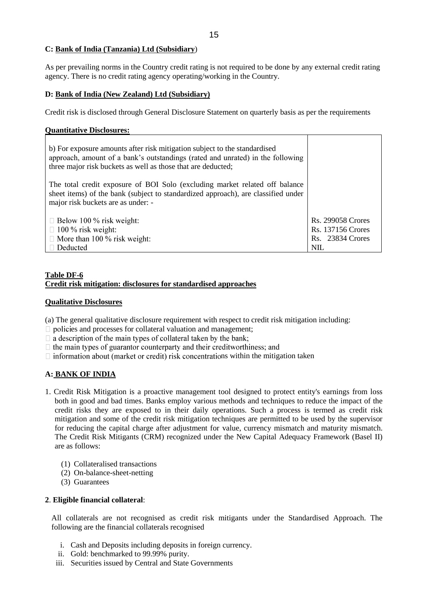### **C: Bank of India (Tanzania) Ltd (Subsidiary**)

As per prevailing norms in the Country credit rating is not required to be done by any external credit rating agency. There is no credit rating agency operating/working in the Country.

### **D: Bank of India (New Zealand) Ltd (Subsidiary)**

Credit risk is disclosed through General Disclosure Statement on quarterly basis as per the requirements

T

### **Quantitative Disclosures:**

| b) For exposure amounts after risk mitigation subject to the standardised<br>approach, amount of a bank's outstandings (rated and unrated) in the following<br>three major risk buckets as well as those that are deducted; |                                                                                               |
|-----------------------------------------------------------------------------------------------------------------------------------------------------------------------------------------------------------------------------|-----------------------------------------------------------------------------------------------|
| The total credit exposure of BOI Solo (excluding market related off balance<br>sheet items) of the bank (subject to standardized approach), are classified under<br>major risk buckets are as under: -                      |                                                                                               |
| $\Box$ Below 100 % risk weight:<br>$\Box$ 100 % risk weight:<br>$\Box$ More than 100 % risk weight:<br>$\Box$ Deducted                                                                                                      | <b>Rs. 299058 Crores</b><br><b>Rs. 137156 Crores</b><br><b>Rs.</b> 23834 Crores<br><b>NIL</b> |

### **Table DF-6 Credit risk mitigation: disclosures for standardised approaches**

### **Qualitative Disclosures**

(a) The general qualitative disclosure requirement with respect to credit risk mitigation including:

- $\Box$  policies and processes for collateral valuation and management;
- $\Box$  a description of the main types of collateral taken by the bank;
- $\Box$  the main types of guarantor counterparty and their creditworthiness; and
- $\Box$  information about (market or credit) risk concentrations within the mitigation taken

### **A: BANK OF INDIA**

- 1. Credit Risk Mitigation is a proactive management tool designed to protect entity's earnings from loss both in good and bad times. Banks employ various methods and techniques to reduce the impact of the credit risks they are exposed to in their daily operations. Such a process is termed as credit risk mitigation and some of the credit risk mitigation techniques are permitted to be used by the supervisor for reducing the capital charge after adjustment for value, currency mismatch and maturity mismatch. The Credit Risk Mitigants (CRM) recognized under the New Capital Adequacy Framework (Basel II) are as follows:
	- (1) Collateralised transactions
	- (2) On-balance-sheet-netting
	- (3) Guarantees

### **2**. **Eligible financial collateral**:

All collaterals are not recognised as credit risk mitigants under the Standardised Approach. The following are the financial collaterals recognised

- i. Cash and Deposits including deposits in foreign currency.
- ii. Gold: benchmarked to 99.99% purity.
- iii. Securities issued by Central and State Governments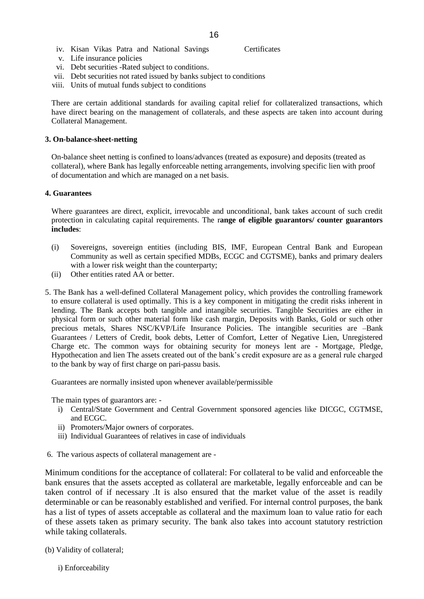- iv. Kisan Vikas Patra and National Savings Certificates
- v. Life insurance policies
- vi. Debt securities -Rated subject to conditions.
- vii. Debt securities not rated issued by banks subject to conditions
- viii. Units of mutual funds subject to conditions

There are certain additional standards for availing capital relief for collateralized transactions, which have direct bearing on the management of collaterals, and these aspects are taken into account during Collateral Management.

#### **3. On-balance-sheet-netting**

On-balance sheet netting is confined to loans/advances (treated as exposure) and deposits (treated as collateral), where Bank has legally enforceable netting arrangements, involving specific lien with proof of documentation and which are managed on a net basis.

#### **4. Guarantees**

Where guarantees are direct, explicit, irrevocable and unconditional, bank takes account of such credit protection in calculating capital requirements. The r**ange of eligible guarantors/ counter guarantors includes**:

- (i) Sovereigns, sovereign entities (including BIS, IMF, European Central Bank and European Community as well as certain specified MDBs, ECGC and CGTSME), banks and primary dealers with a lower risk weight than the counterparty;
- (ii) Other entities rated AA or better.
- 5. The Bank has a well-defined Collateral Management policy, which provides the controlling framework to ensure collateral is used optimally. This is a key component in mitigating the credit risks inherent in lending. The Bank accepts both tangible and intangible securities. Tangible Securities are either in physical form or such other material form like cash margin, Deposits with Banks, Gold or such other precious metals, Shares NSC/KVP/Life Insurance Policies. The intangible securities are –Bank Guarantees / Letters of Credit, book debts, Letter of Comfort, Letter of Negative Lien, Unregistered Charge etc. The common ways for obtaining security for moneys lent are - Mortgage, Pledge, Hypothecation and lien The assets created out of the bank"s credit exposure are as a general rule charged to the bank by way of first charge on pari-passu basis.

Guarantees are normally insisted upon whenever available/permissible

The main types of guarantors are: -

- i) Central/State Government and Central Government sponsored agencies like DICGC, CGTMSE, and ECGC.
- ii) Promoters/Major owners of corporates.
- iii) Individual Guarantees of relatives in case of individuals
- 6. The various aspects of collateral management are -

Minimum conditions for the acceptance of collateral: For collateral to be valid and enforceable the bank ensures that the assets accepted as collateral are marketable, legally enforceable and can be taken control of if necessary .It is also ensured that the market value of the asset is readily determinable or can be reasonably established and verified. For internal control purposes, the bank has a list of types of assets acceptable as collateral and the maximum loan to value ratio for each of these assets taken as primary security. The bank also takes into account statutory restriction while taking collaterals.

- (b) Validity of collateral;
	- i) Enforceability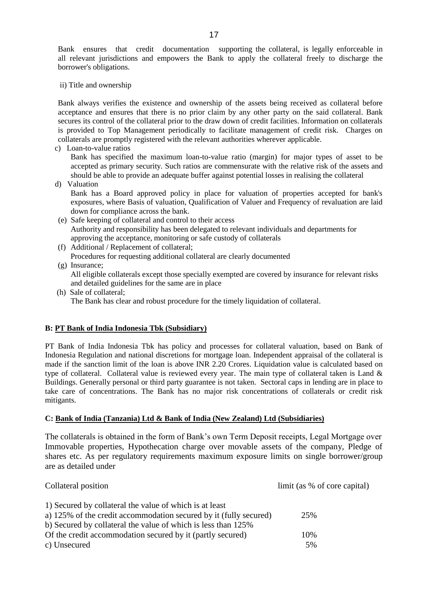Bank ensures that credit documentation supporting the collateral, is legally enforceable in all relevant jurisdictions and empowers the Bank to apply the collateral freely to discharge the borrower's obligations.

ii) Title and ownership

Bank always verifies the existence and ownership of the assets being received as collateral before acceptance and ensures that there is no prior claim by any other party on the said collateral. Bank secures its control of the collateral prior to the draw down of credit facilities. Information on collaterals is provided to Top Management periodically to facilitate management of credit risk. Charges on collaterals are promptly registered with the relevant authorities wherever applicable.

c) Loan-to-value ratios

Bank has specified the maximum loan-to-value ratio (margin) for major types of asset to be accepted as primary security. Such ratios are commensurate with the relative risk of the assets and should be able to provide an adequate buffer against potential losses in realising the collateral

d) Valuation

Bank has a Board approved policy in place for valuation of properties accepted for bank's exposures, where Basis of valuation, Qualification of Valuer and Frequency of revaluation are laid down for compliance across the bank.

- (e) Safe keeping of collateral and control to their access Authority and responsibility has been delegated to relevant individuals and departments for approving the acceptance, monitoring or safe custody of collaterals
- (f) Additional / Replacement of collateral; Procedures for requesting additional collateral are clearly documented
- (g) Insurance;

All eligible collaterals except those specially exempted are covered by insurance for relevant risks and detailed guidelines for the same are in place

 (h) Sale of collateral; The Bank has clear and robust procedure for the timely liquidation of collateral.

## **B: PT Bank of India Indonesia Tbk (Subsidiary)**

PT Bank of India Indonesia Tbk has policy and processes for collateral valuation, based on Bank of Indonesia Regulation and national discretions for mortgage loan. Independent appraisal of the collateral is made if the sanction limit of the loan is above INR 2.20 Crores. Liquidation value is calculated based on type of collateral. Collateral value is reviewed every year. The main type of collateral taken is Land  $\&$ Buildings. Generally personal or third party guarantee is not taken. Sectoral caps in lending are in place to take care of concentrations. The Bank has no major risk concentrations of collaterals or credit risk mitigants.

## **C: Bank of India (Tanzania) Ltd & Bank of India (New Zealand) Ltd (Subsidiaries)**

The collaterals is obtained in the form of Bank"s own Term Deposit receipts, Legal Mortgage over Immovable properties, Hypothecation charge over movable assets of the company, Pledge of shares etc. As per regulatory requirements maximum exposure limits on single borrower/group are as detailed under

| Collateral position                                               | limit (as % of core capital) |
|-------------------------------------------------------------------|------------------------------|
| 1) Secured by collateral the value of which is at least           |                              |
| a) 125% of the credit accommodation secured by it (fully secured) | 25%                          |
| b) Secured by collateral the value of which is less than 125%     |                              |
| Of the credit accommodation secured by it (partly secured)        | 10%                          |
| c) Unsecured                                                      | 5%                           |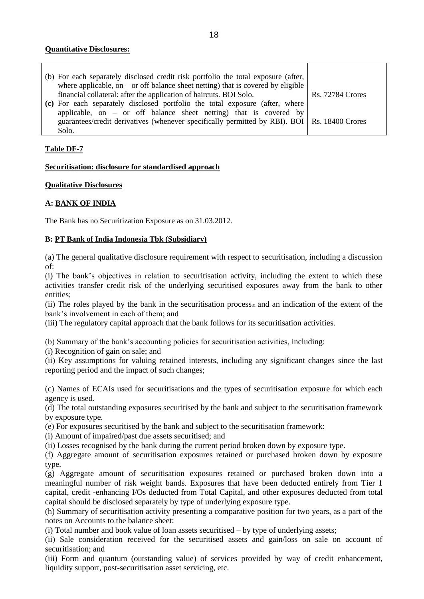### **Quantitative Disclosures:**

| (b) For each separately disclosed credit risk portfolio the total exposure (after,             |                         |
|------------------------------------------------------------------------------------------------|-------------------------|
| where applicable, on $-$ or off balance sheet netting) that is covered by eligible             |                         |
| financial collateral: after the application of haircuts. BOI Solo.                             | <b>Rs. 72784 Crores</b> |
| (c) For each separately disclosed portfolio the total exposure (after, where                   |                         |
| applicable, on $-$ or off balance sheet netting) that is covered by                            |                         |
| guarantees/credit derivatives (whenever specifically permitted by RBI). BOI   Rs. 18400 Crores |                         |
| Solo.                                                                                          |                         |

## **Table DF-7**

### **Securitisation: disclosure for standardised approach**

### **Qualitative Disclosures**

# **A: BANK OF INDIA**

The Bank has no Securitization Exposure as on 31.03.2012.

## **B: PT Bank of India Indonesia Tbk (Subsidiary)**

(a) The general qualitative disclosure requirement with respect to securitisation, including a discussion of:

(i) The bank"s objectives in relation to securitisation activity, including the extent to which these activities transfer credit risk of the underlying securitised exposures away from the bank to other entities;

(ii) The roles played by the bank in the securitisation process31 and an indication of the extent of the bank"s involvement in each of them; and

(iii) The regulatory capital approach that the bank follows for its securitisation activities.

(b) Summary of the bank"s accounting policies for securitisation activities, including:

(i) Recognition of gain on sale; and

(ii) Key assumptions for valuing retained interests, including any significant changes since the last reporting period and the impact of such changes;

(c) Names of ECAIs used for securitisations and the types of securitisation exposure for which each agency is used.

(d) The total outstanding exposures securitised by the bank and subject to the securitisation framework by exposure type.

(e) For exposures securitised by the bank and subject to the securitisation framework:

(i) Amount of impaired/past due assets securitised; and

(ii) Losses recognised by the bank during the current period broken down by exposure type.

(f) Aggregate amount of securitisation exposures retained or purchased broken down by exposure type.

(g) Aggregate amount of securitisation exposures retained or purchased broken down into a meaningful number of risk weight bands. Exposures that have been deducted entirely from Tier 1 capital, credit -enhancing I/Os deducted from Total Capital, and other exposures deducted from total capital should be disclosed separately by type of underlying exposure type.

(h) Summary of securitisation activity presenting a comparative position for two years, as a part of the notes on Accounts to the balance sheet:

(i) Total number and book value of loan assets securitised – by type of underlying assets;

(ii) Sale consideration received for the securitised assets and gain/loss on sale on account of securitisation; and

(iii) Form and quantum (outstanding value) of services provided by way of credit enhancement, liquidity support, post-securitisation asset servicing, etc.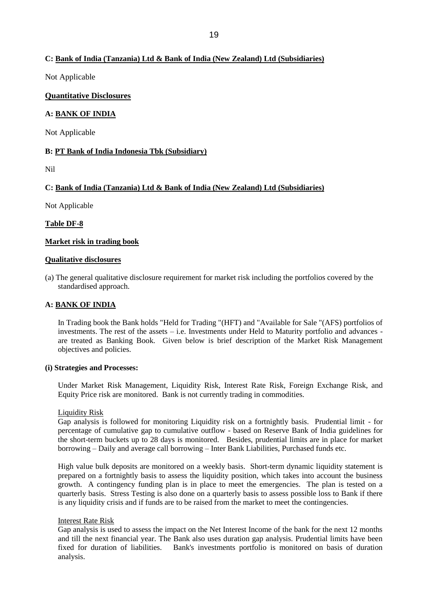## **C: Bank of India (Tanzania) Ltd & Bank of India (New Zealand) Ltd (Subsidiaries)**

Not Applicable

### **Quantitative Disclosures**

### **A: BANK OF INDIA**

Not Applicable

### **B: PT Bank of India Indonesia Tbk (Subsidiary)**

Nil

## **C: Bank of India (Tanzania) Ltd & Bank of India (New Zealand) Ltd (Subsidiaries)**

Not Applicable

### **Table DF-8**

### **Market risk in trading book**

### **Qualitative disclosures**

(a) The general qualitative disclosure requirement for market risk including the portfolios covered by the standardised approach.

### **A: BANK OF INDIA**

In Trading book the Bank holds "Held for Trading "(HFT) and "Available for Sale "(AFS) portfolios of investments. The rest of the assets – i.e. Investments under Held to Maturity portfolio and advances are treated as Banking Book. Given below is brief description of the Market Risk Management objectives and policies.

### **(i) Strategies and Processes:**

Under Market Risk Management, Liquidity Risk, Interest Rate Risk, Foreign Exchange Risk, and Equity Price risk are monitored. Bank is not currently trading in commodities.

### Liquidity Risk

Gap analysis is followed for monitoring Liquidity risk on a fortnightly basis. Prudential limit - for percentage of cumulative gap to cumulative outflow - based on Reserve Bank of India guidelines for the short-term buckets up to 28 days is monitored. Besides, prudential limits are in place for market borrowing – Daily and average call borrowing – Inter Bank Liabilities, Purchased funds etc.

High value bulk deposits are monitored on a weekly basis. Short-term dynamic liquidity statement is prepared on a fortnightly basis to assess the liquidity position, which takes into account the business growth. A contingency funding plan is in place to meet the emergencies. The plan is tested on a quarterly basis. Stress Testing is also done on a quarterly basis to assess possible loss to Bank if there is any liquidity crisis and if funds are to be raised from the market to meet the contingencies.

### Interest Rate Risk

Gap analysis is used to assess the impact on the Net Interest Income of the bank for the next 12 months and till the next financial year. The Bank also uses duration gap analysis. Prudential limits have been fixed for duration of liabilities. Bank's investments portfolio is monitored on basis of duration analysis.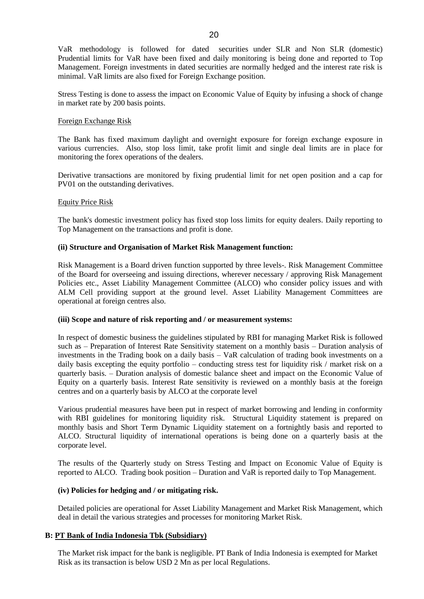20

VaR methodology is followed for dated securities under SLR and Non SLR (domestic) Prudential limits for VaR have been fixed and daily monitoring is being done and reported to Top Management. Foreign investments in dated securities are normally hedged and the interest rate risk is minimal. VaR limits are also fixed for Foreign Exchange position.

Stress Testing is done to assess the impact on Economic Value of Equity by infusing a shock of change in market rate by 200 basis points.

#### Foreign Exchange Risk

The Bank has fixed maximum daylight and overnight exposure for foreign exchange exposure in various currencies. Also, stop loss limit, take profit limit and single deal limits are in place for monitoring the forex operations of the dealers.

Derivative transactions are monitored by fixing prudential limit for net open position and a cap for PV01 on the outstanding derivatives.

#### Equity Price Risk

The bank's domestic investment policy has fixed stop loss limits for equity dealers. Daily reporting to Top Management on the transactions and profit is done.

#### **(ii) Structure and Organisation of Market Risk Management function:**

Risk Management is a Board driven function supported by three levels-. Risk Management Committee of the Board for overseeing and issuing directions, wherever necessary / approving Risk Management Policies etc., Asset Liability Management Committee (ALCO) who consider policy issues and with ALM Cell providing support at the ground level. Asset Liability Management Committees are operational at foreign centres also.

#### **(iii) Scope and nature of risk reporting and / or measurement systems:**

In respect of domestic business the guidelines stipulated by RBI for managing Market Risk is followed such as – Preparation of Interest Rate Sensitivity statement on a monthly basis – Duration analysis of investments in the Trading book on a daily basis – VaR calculation of trading book investments on a daily basis excepting the equity portfolio – conducting stress test for liquidity risk / market risk on a quarterly basis. – Duration analysis of domestic balance sheet and impact on the Economic Value of Equity on a quarterly basis. Interest Rate sensitivity is reviewed on a monthly basis at the foreign centres and on a quarterly basis by ALCO at the corporate level

Various prudential measures have been put in respect of market borrowing and lending in conformity with RBI guidelines for monitoring liquidity risk. Structural Liquidity statement is prepared on monthly basis and Short Term Dynamic Liquidity statement on a fortnightly basis and reported to ALCO. Structural liquidity of international operations is being done on a quarterly basis at the corporate level.

The results of the Quarterly study on Stress Testing and Impact on Economic Value of Equity is reported to ALCO. Trading book position – Duration and VaR is reported daily to Top Management.

### **(iv) Policies for hedging and / or mitigating risk.**

Detailed policies are operational for Asset Liability Management and Market Risk Management, which deal in detail the various strategies and processes for monitoring Market Risk.

### **B: PT Bank of India Indonesia Tbk (Subsidiary)**

The Market risk impact for the bank is negligible. PT Bank of India Indonesia is exempted for Market Risk as its transaction is below USD 2 Mn as per local Regulations.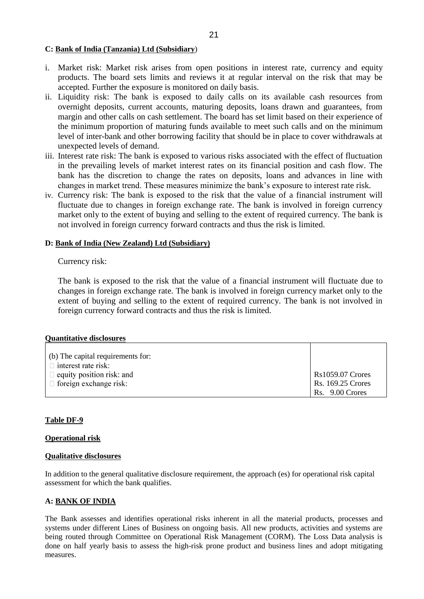### **C: Bank of India (Tanzania) Ltd (Subsidiary**)

- i. Market risk: Market risk arises from open positions in interest rate, currency and equity products. The board sets limits and reviews it at regular interval on the risk that may be accepted. Further the exposure is monitored on daily basis.
- ii. Liquidity risk: The bank is exposed to daily calls on its available cash resources from overnight deposits, current accounts, maturing deposits, loans drawn and guarantees, from margin and other calls on cash settlement. The board has set limit based on their experience of the minimum proportion of maturing funds available to meet such calls and on the minimum level of inter-bank and other borrowing facility that should be in place to cover withdrawals at unexpected levels of demand.
- iii. Interest rate risk: The bank is exposed to various risks associated with the effect of fluctuation in the prevailing levels of market interest rates on its financial position and cash flow. The bank has the discretion to change the rates on deposits, loans and advances in line with changes in market trend. These measures minimize the bank"s exposure to interest rate risk.
- iv. Currency risk: The bank is exposed to the risk that the value of a financial instrument will fluctuate due to changes in foreign exchange rate. The bank is involved in foreign currency market only to the extent of buying and selling to the extent of required currency. The bank is not involved in foreign currency forward contracts and thus the risk is limited.

### **D: Bank of India (New Zealand) Ltd (Subsidiary)**

## Currency risk:

The bank is exposed to the risk that the value of a financial instrument will fluctuate due to changes in foreign exchange rate. The bank is involved in foreign currency market only to the extent of buying and selling to the extent of required currency. The bank is not involved in foreign currency forward contracts and thus the risk is limited.

### **Quantitative disclosures**

| (b) The capital requirements for: |                          |
|-----------------------------------|--------------------------|
| $\Box$ interest rate risk:        |                          |
| $\Box$ equity position risk: and  | <b>Rs1059.07 Crores</b>  |
| $\Box$ foreign exchange risk:     | <b>Rs. 169.25 Crores</b> |
|                                   | Rs. 9.00 Crores          |

### **Table DF-9**

### **Operational risk**

### **Qualitative disclosures**

In addition to the general qualitative disclosure requirement, the approach (es) for operational risk capital assessment for which the bank qualifies.

## **A: BANK OF INDIA**

The Bank assesses and identifies operational risks inherent in all the material products, processes and systems under different Lines of Business on ongoing basis. All new products, activities and systems are being routed through Committee on Operational Risk Management (CORM). The Loss Data analysis is done on half yearly basis to assess the high-risk prone product and business lines and adopt mitigating measures.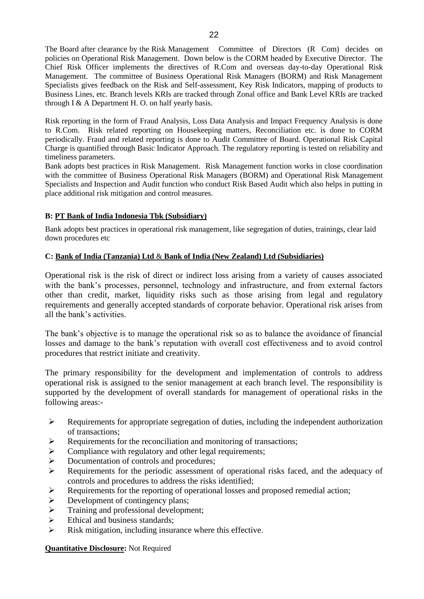The Board after clearance by the Risk Management Committee of Directors (R Com) decides on policies on Operational Risk Management. Down below is the CORM headed by Executive Director. The Chief Risk Officer implements the directives of R.Com and overseas day-to-day Operational Risk Management. The committee of Business Operational Risk Managers (BORM) and Risk Management Specialists gives feedback on the Risk and Self-assessment, Key Risk Indicators, mapping of products to Business Lines, etc. Branch levels KRIs are tracked through Zonal office and Bank Level KRIs are tracked through I  $&$  A Department H. O. on half yearly basis.

Risk reporting in the form of Fraud Analysis, Loss Data Analysis and Impact Frequency Analysis is done to R.Com. Risk related reporting on Housekeeping matters, Reconciliation etc. is done to CORM periodically. Fraud and related reporting is done to Audit Committee of Board. Operational Risk Capital Charge is quantified through Basic Indicator Approach. The regulatory reporting is tested on reliability and timeliness parameters.

Bank adopts best practices in Risk Management. Risk Management function works in close coordination with the committee of Business Operational Risk Managers (BORM) and Operational Risk Management Specialists and Inspection and Audit function who conduct Risk Based Audit which also helps in putting in place additional risk mitigation and control measures.

## **B: PT Bank of India Indonesia Tbk (Subsidiary)**

Bank adopts best practices in operational risk management, like segregation of duties, trainings, clear laid down procedures etc

## **C: Bank of India (Tanzania) Ltd** & **Bank of India (New Zealand) Ltd (Subsidiaries)**

Operational risk is the risk of direct or indirect loss arising from a variety of causes associated with the bank's processes, personnel, technology and infrastructure, and from external factors other than credit, market, liquidity risks such as those arising from legal and regulatory requirements and generally accepted standards of corporate behavior. Operational risk arises from all the bank"s activities.

The bank"s objective is to manage the operational risk so as to balance the avoidance of financial losses and damage to the bank"s reputation with overall cost effectiveness and to avoid control procedures that restrict initiate and creativity.

The primary responsibility for the development and implementation of controls to address operational risk is assigned to the senior management at each branch level. The responsibility is supported by the development of overall standards for management of operational risks in the following areas:-

- $\triangleright$  Requirements for appropriate segregation of duties, including the independent authorization of transactions;
- $\triangleright$  Requirements for the reconciliation and monitoring of transactions;
- $\triangleright$  Compliance with regulatory and other legal requirements;
- $\triangleright$  Documentation of controls and procedures;
- Requirements for the periodic assessment of operational risks faced, and the adequacy of controls and procedures to address the risks identified;
- $\triangleright$  Requirements for the reporting of operational losses and proposed remedial action;
- $\triangleright$  Development of contingency plans;
- $\triangleright$  Training and professional development;
- $\triangleright$  Ethical and business standards;
- $\triangleright$  Risk mitigation, including insurance where this effective.

### **Quantitative Disclosure:** Not Required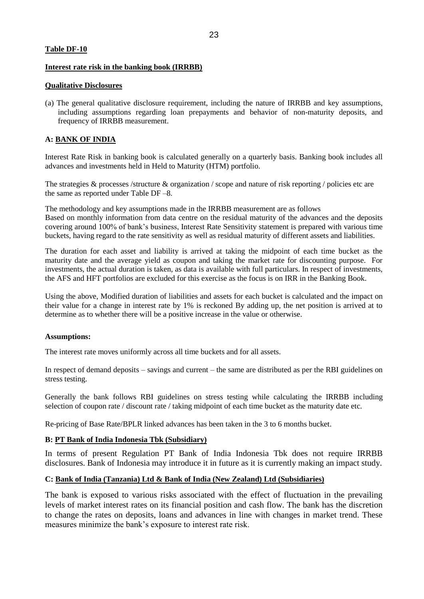#### **Table DF-10**

#### **Interest rate risk in the banking book (IRRBB)**

#### **Qualitative Disclosures**

(a) The general qualitative disclosure requirement, including the nature of IRRBB and key assumptions, including assumptions regarding loan prepayments and behavior of non-maturity deposits, and frequency of IRRBB measurement.

### **A: BANK OF INDIA**

Interest Rate Risk in banking book is calculated generally on a quarterly basis. Banking book includes all advances and investments held in Held to Maturity (HTM) portfolio.

The strategies & processes /structure & organization / scope and nature of risk reporting / policies etc are the same as reported under Table DF –8.

The methodology and key assumptions made in the IRRBB measurement are as follows Based on monthly information from data centre on the residual maturity of the advances and the deposits covering around 100% of bank"s business, Interest Rate Sensitivity statement is prepared with various time buckets, having regard to the rate sensitivity as well as residual maturity of different assets and liabilities.

The duration for each asset and liability is arrived at taking the midpoint of each time bucket as the maturity date and the average yield as coupon and taking the market rate for discounting purpose. For investments, the actual duration is taken, as data is available with full particulars. In respect of investments, the AFS and HFT portfolios are excluded for this exercise as the focus is on IRR in the Banking Book.

Using the above, Modified duration of liabilities and assets for each bucket is calculated and the impact on their value for a change in interest rate by 1% is reckoned By adding up, the net position is arrived at to determine as to whether there will be a positive increase in the value or otherwise.

### **Assumptions:**

The interest rate moves uniformly across all time buckets and for all assets.

In respect of demand deposits – savings and current – the same are distributed as per the RBI guidelines on stress testing.

Generally the bank follows RBI guidelines on stress testing while calculating the IRRBB including selection of coupon rate / discount rate / taking midpoint of each time bucket as the maturity date etc.

Re-pricing of Base Rate/BPLR linked advances has been taken in the 3 to 6 months bucket.

### **B: PT Bank of India Indonesia Tbk (Subsidiary)**

In terms of present Regulation PT Bank of India Indonesia Tbk does not require IRRBB disclosures. Bank of Indonesia may introduce it in future as it is currently making an impact study.

### **C: Bank of India (Tanzania) Ltd & Bank of India (New Zealand) Ltd (Subsidiaries)**

The bank is exposed to various risks associated with the effect of fluctuation in the prevailing levels of market interest rates on its financial position and cash flow. The bank has the discretion to change the rates on deposits, loans and advances in line with changes in market trend. These measures minimize the bank's exposure to interest rate risk.